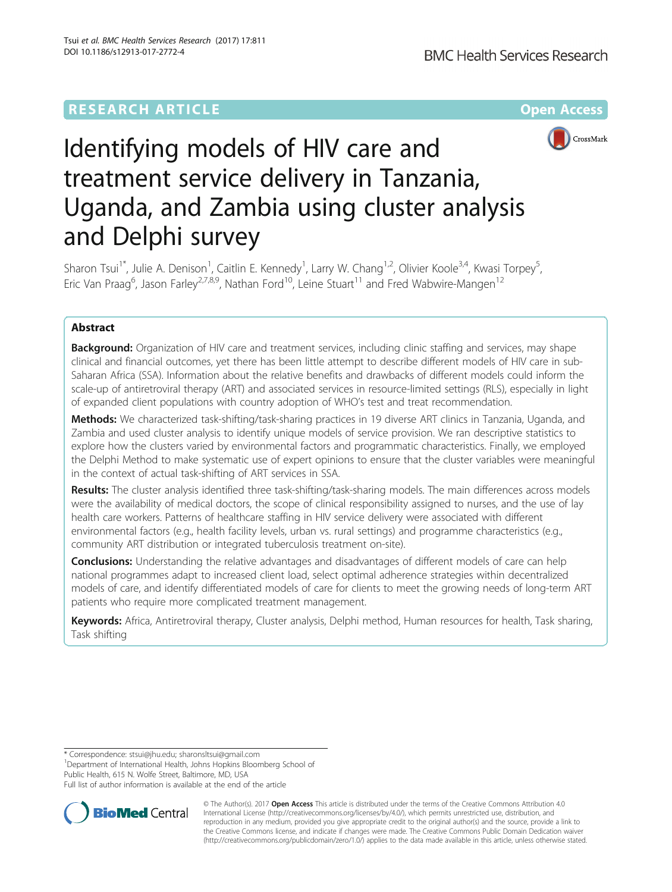# **RESEARCH ARTICLE Example 2014 12:30 The Company Access** (RESEARCH ARTICLE



# Identifying models of HIV care and treatment service delivery in Tanzania, Uganda, and Zambia using cluster analysis and Delphi survey

Sharon Tsui<sup>1\*</sup>, Julie A. Denison<sup>1</sup>, Caitlin E. Kennedy<sup>1</sup>, Larry W. Chang<sup>1,2</sup>, Olivier Koole<sup>3,4</sup>, Kwasi Torpey<sup>5</sup> , Eric Van Praag<sup>6</sup>, Jason Farley<sup>2,7,8,9</sup>, Nathan Ford<sup>10</sup>, Leine Stuart<sup>11</sup> and Fred Wabwire-Mangen<sup>12</sup>

# Abstract

**Background:** Organization of HIV care and treatment services, including clinic staffing and services, may shape clinical and financial outcomes, yet there has been little attempt to describe different models of HIV care in sub-Saharan Africa (SSA). Information about the relative benefits and drawbacks of different models could inform the scale-up of antiretroviral therapy (ART) and associated services in resource-limited settings (RLS), especially in light of expanded client populations with country adoption of WHO's test and treat recommendation.

Methods: We characterized task-shifting/task-sharing practices in 19 diverse ART clinics in Tanzania, Uganda, and Zambia and used cluster analysis to identify unique models of service provision. We ran descriptive statistics to explore how the clusters varied by environmental factors and programmatic characteristics. Finally, we employed the Delphi Method to make systematic use of expert opinions to ensure that the cluster variables were meaningful in the context of actual task-shifting of ART services in SSA.

Results: The cluster analysis identified three task-shifting/task-sharing models. The main differences across models were the availability of medical doctors, the scope of clinical responsibility assigned to nurses, and the use of lay health care workers. Patterns of healthcare staffing in HIV service delivery were associated with different environmental factors (e.g., health facility levels, urban vs. rural settings) and programme characteristics (e.g., community ART distribution or integrated tuberculosis treatment on-site).

**Conclusions:** Understanding the relative advantages and disadvantages of different models of care can help national programmes adapt to increased client load, select optimal adherence strategies within decentralized models of care, and identify differentiated models of care for clients to meet the growing needs of long-term ART patients who require more complicated treatment management.

Keywords: Africa, Antiretroviral therapy, Cluster analysis, Delphi method, Human resources for health, Task sharing, Task shifting

<sup>1</sup>Department of International Health, Johns Hopkins Bloomberg School of Public Health, 615 N. Wolfe Street, Baltimore, MD, USA

Full list of author information is available at the end of the article



© The Author(s). 2017 **Open Access** This article is distributed under the terms of the Creative Commons Attribution 4.0 International License [\(http://creativecommons.org/licenses/by/4.0/](http://creativecommons.org/licenses/by/4.0/)), which permits unrestricted use, distribution, and reproduction in any medium, provided you give appropriate credit to the original author(s) and the source, provide a link to the Creative Commons license, and indicate if changes were made. The Creative Commons Public Domain Dedication waiver [\(http://creativecommons.org/publicdomain/zero/1.0/](http://creativecommons.org/publicdomain/zero/1.0/)) applies to the data made available in this article, unless otherwise stated.

<sup>\*</sup> Correspondence: [stsui@jhu.edu](mailto:stsui@jhu.edu); [sharonsltsui@gmail.com](mailto:sharonsltsui@gmail.com) <sup>1</sup>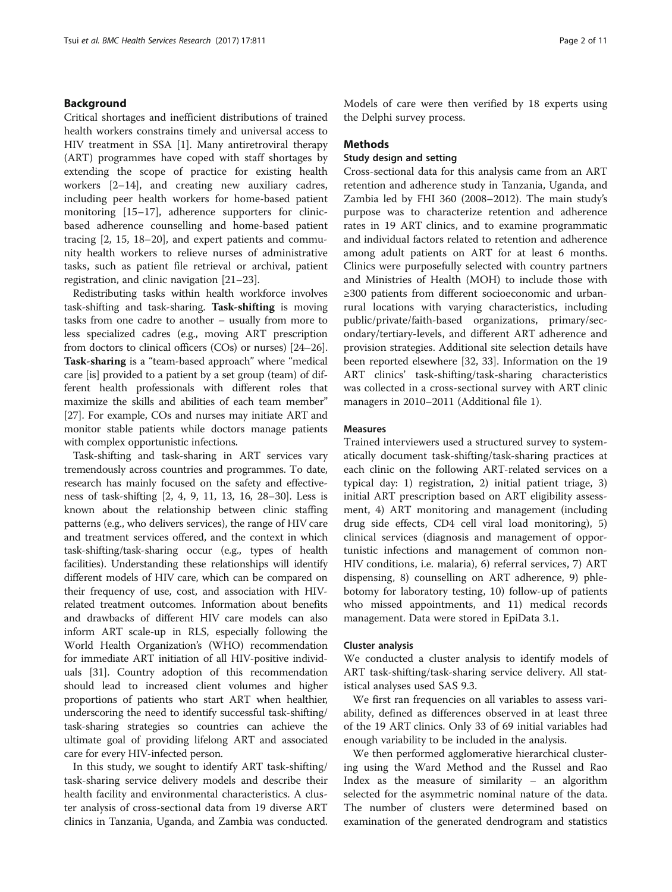# Background

Critical shortages and inefficient distributions of trained health workers constrains timely and universal access to HIV treatment in SSA [[1\]](#page-9-0). Many antiretroviral therapy (ART) programmes have coped with staff shortages by extending the scope of practice for existing health workers [[2](#page-9-0)–[14](#page-9-0)], and creating new auxiliary cadres, including peer health workers for home-based patient monitoring [\[15](#page-9-0)–[17\]](#page-9-0), adherence supporters for clinicbased adherence counselling and home-based patient tracing [[2, 15](#page-9-0), [18](#page-9-0)–[20\]](#page-10-0), and expert patients and community health workers to relieve nurses of administrative tasks, such as patient file retrieval or archival, patient registration, and clinic navigation [\[21](#page-10-0)–[23](#page-10-0)].

Redistributing tasks within health workforce involves task-shifting and task-sharing. Task-shifting is moving tasks from one cadre to another – usually from more to less specialized cadres (e.g., moving ART prescription from doctors to clinical officers (COs) or nurses) [\[24](#page-10-0)–[26](#page-10-0)]. Task-sharing is a "team-based approach" where "medical care [is] provided to a patient by a set group (team) of different health professionals with different roles that maximize the skills and abilities of each team member" [[27](#page-10-0)]. For example, COs and nurses may initiate ART and monitor stable patients while doctors manage patients with complex opportunistic infections.

Task-shifting and task-sharing in ART services vary tremendously across countries and programmes. To date, research has mainly focused on the safety and effectiveness of task-shifting [[2](#page-9-0), [4, 9, 11, 13, 16,](#page-9-0) [28](#page-10-0)–[30](#page-10-0)]. Less is known about the relationship between clinic staffing patterns (e.g., who delivers services), the range of HIV care and treatment services offered, and the context in which task-shifting/task-sharing occur (e.g., types of health facilities). Understanding these relationships will identify different models of HIV care, which can be compared on their frequency of use, cost, and association with HIVrelated treatment outcomes. Information about benefits and drawbacks of different HIV care models can also inform ART scale-up in RLS, especially following the World Health Organization's (WHO) recommendation for immediate ART initiation of all HIV-positive individuals [\[31\]](#page-10-0). Country adoption of this recommendation should lead to increased client volumes and higher proportions of patients who start ART when healthier, underscoring the need to identify successful task-shifting/ task-sharing strategies so countries can achieve the ultimate goal of providing lifelong ART and associated care for every HIV-infected person.

In this study, we sought to identify ART task-shifting/ task-sharing service delivery models and describe their health facility and environmental characteristics. A cluster analysis of cross-sectional data from 19 diverse ART clinics in Tanzania, Uganda, and Zambia was conducted. Models of care were then verified by 18 experts using the Delphi survey process.

#### Methods

# Study design and setting

Cross-sectional data for this analysis came from an ART retention and adherence study in Tanzania, Uganda, and Zambia led by FHI 360 (2008–2012). The main study's purpose was to characterize retention and adherence rates in 19 ART clinics, and to examine programmatic and individual factors related to retention and adherence among adult patients on ART for at least 6 months. Clinics were purposefully selected with country partners and Ministries of Health (MOH) to include those with ≥300 patients from different socioeconomic and urbanrural locations with varying characteristics, including public/private/faith-based organizations, primary/secondary/tertiary-levels, and different ART adherence and provision strategies. Additional site selection details have been reported elsewhere [\[32, 33](#page-10-0)]. Information on the 19 ART clinics' task-shifting/task-sharing characteristics was collected in a cross-sectional survey with ART clinic managers in 2010–2011 (Additional file [1](#page-8-0)).

#### Measures

Trained interviewers used a structured survey to systematically document task-shifting/task-sharing practices at each clinic on the following ART-related services on a typical day: 1) registration, 2) initial patient triage, 3) initial ART prescription based on ART eligibility assessment, 4) ART monitoring and management (including drug side effects, CD4 cell viral load monitoring), 5) clinical services (diagnosis and management of opportunistic infections and management of common non-HIV conditions, i.e. malaria), 6) referral services, 7) ART dispensing, 8) counselling on ART adherence, 9) phlebotomy for laboratory testing, 10) follow-up of patients who missed appointments, and 11) medical records management. Data were stored in EpiData 3.1.

# Cluster analysis

We conducted a cluster analysis to identify models of ART task-shifting/task-sharing service delivery. All statistical analyses used SAS 9.3.

We first ran frequencies on all variables to assess variability, defined as differences observed in at least three of the 19 ART clinics. Only 33 of 69 initial variables had enough variability to be included in the analysis.

We then performed agglomerative hierarchical clustering using the Ward Method and the Russel and Rao Index as the measure of similarity – an algorithm selected for the asymmetric nominal nature of the data. The number of clusters were determined based on examination of the generated dendrogram and statistics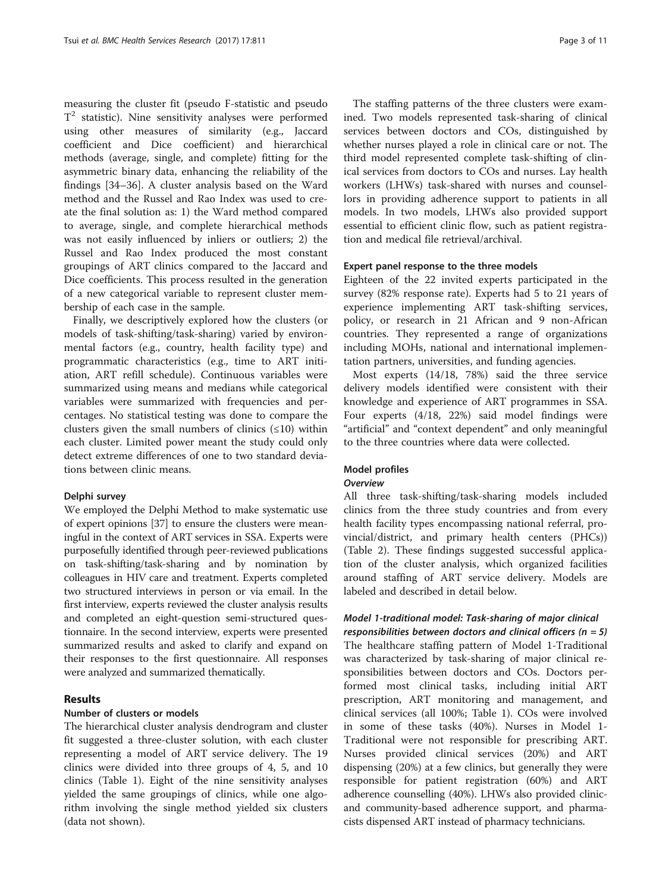measuring the cluster fit (pseudo F-statistic and pseudo  $T<sup>2</sup>$  statistic). Nine sensitivity analyses were performed using other measures of similarity (e.g., Jaccard coefficient and Dice coefficient) and hierarchical methods (average, single, and complete) fitting for the asymmetric binary data, enhancing the reliability of the findings [\[34](#page-10-0)–[36\]](#page-10-0). A cluster analysis based on the Ward method and the Russel and Rao Index was used to create the final solution as: 1) the Ward method compared to average, single, and complete hierarchical methods was not easily influenced by inliers or outliers; 2) the Russel and Rao Index produced the most constant groupings of ART clinics compared to the Jaccard and Dice coefficients. This process resulted in the generation of a new categorical variable to represent cluster membership of each case in the sample.

Finally, we descriptively explored how the clusters (or models of task-shifting/task-sharing) varied by environmental factors (e.g., country, health facility type) and programmatic characteristics (e.g., time to ART initiation, ART refill schedule). Continuous variables were summarized using means and medians while categorical variables were summarized with frequencies and percentages. No statistical testing was done to compare the clusters given the small numbers of clinics  $(\leq 10)$  within each cluster. Limited power meant the study could only detect extreme differences of one to two standard deviations between clinic means.

#### Delphi survey

We employed the Delphi Method to make systematic use of expert opinions [[37](#page-10-0)] to ensure the clusters were meaningful in the context of ART services in SSA. Experts were purposefully identified through peer-reviewed publications on task-shifting/task-sharing and by nomination by colleagues in HIV care and treatment. Experts completed two structured interviews in person or via email. In the first interview, experts reviewed the cluster analysis results and completed an eight-question semi-structured questionnaire. In the second interview, experts were presented summarized results and asked to clarify and expand on their responses to the first questionnaire. All responses were analyzed and summarized thematically.

# Results

# Number of clusters or models

The hierarchical cluster analysis dendrogram and cluster fit suggested a three-cluster solution, with each cluster representing a model of ART service delivery. The 19 clinics were divided into three groups of 4, 5, and 10 clinics (Table [1](#page-3-0)). Eight of the nine sensitivity analyses yielded the same groupings of clinics, while one algorithm involving the single method yielded six clusters (data not shown).

The staffing patterns of the three clusters were examined. Two models represented task-sharing of clinical services between doctors and COs, distinguished by whether nurses played a role in clinical care or not. The third model represented complete task-shifting of clinical services from doctors to COs and nurses. Lay health workers (LHWs) task-shared with nurses and counsellors in providing adherence support to patients in all models. In two models, LHWs also provided support essential to efficient clinic flow, such as patient registration and medical file retrieval/archival.

#### Expert panel response to the three models

Eighteen of the 22 invited experts participated in the survey (82% response rate). Experts had 5 to 21 years of experience implementing ART task-shifting services, policy, or research in 21 African and 9 non-African countries. They represented a range of organizations including MOHs, national and international implementation partners, universities, and funding agencies.

Most experts (14/18, 78%) said the three service delivery models identified were consistent with their knowledge and experience of ART programmes in SSA. Four experts (4/18, 22%) said model findings were "artificial" and "context dependent" and only meaningful to the three countries where data were collected.

## Model profiles

# **Overview**

All three task-shifting/task-sharing models included clinics from the three study countries and from every health facility types encompassing national referral, provincial/district, and primary health centers (PHCs)) (Table [2\)](#page-4-0). These findings suggested successful application of the cluster analysis, which organized facilities around staffing of ART service delivery. Models are labeled and described in detail below.

# Model 1-traditional model: Task-sharing of major clinical

responsibilities between doctors and clinical officers ( $n = 5$ ) The healthcare staffing pattern of Model 1-Traditional was characterized by task-sharing of major clinical responsibilities between doctors and COs. Doctors performed most clinical tasks, including initial ART prescription, ART monitoring and management, and clinical services (all 100%; Table [1](#page-3-0)). COs were involved in some of these tasks (40%). Nurses in Model 1- Traditional were not responsible for prescribing ART. Nurses provided clinical services (20%) and ART dispensing (20%) at a few clinics, but generally they were responsible for patient registration (60%) and ART adherence counselling (40%). LHWs also provided clinicand community-based adherence support, and pharmacists dispensed ART instead of pharmacy technicians.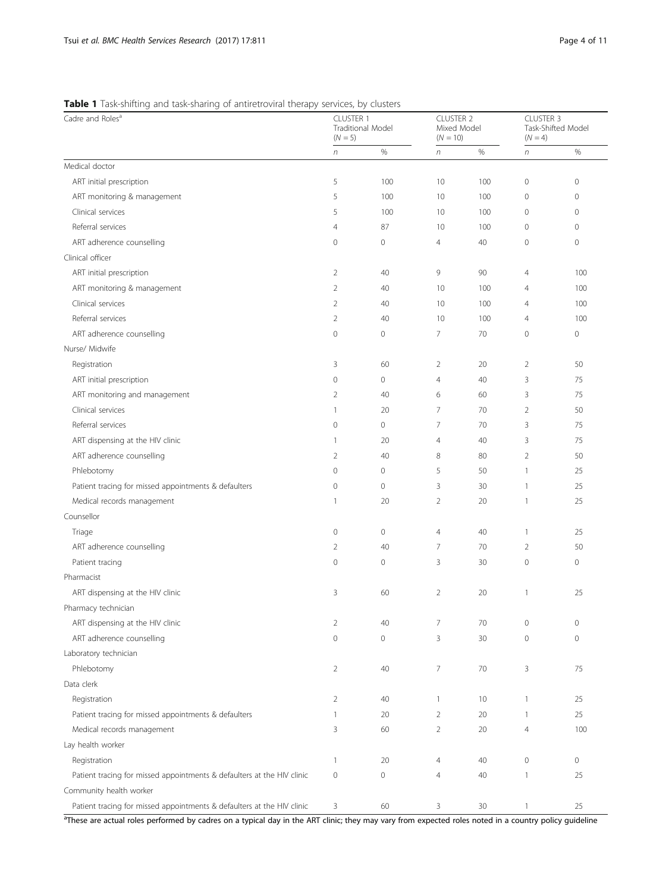# <span id="page-3-0"></span>Table 1 Task-shifting and task-sharing of antiretroviral therapy services, by clusters

| Cadre and Roles <sup>a</sup>                                           |                     | CLUSTER 1<br>Traditional Model<br>$(N = 5)$ |                | CLUSTER 2<br>Mixed Model<br>$(N = 10)$ |                     | <b>CLUSTER 3</b><br>Task-Shifted Model<br>$(N = 4)$ |  |
|------------------------------------------------------------------------|---------------------|---------------------------------------------|----------------|----------------------------------------|---------------------|-----------------------------------------------------|--|
|                                                                        | $\eta$              | $\%$                                        | $\eta$         | $\%$                                   | $\boldsymbol{n}$    | $\%$                                                |  |
| Medical doctor                                                         |                     |                                             |                |                                        |                     |                                                     |  |
| ART initial prescription                                               | 5                   | 100                                         | 10             | 100                                    | $\mathsf{O}\xspace$ | $\circ$                                             |  |
| ART monitoring & management                                            | 5                   | 100                                         | 10             | 100                                    | $\mathsf{O}\xspace$ | $\overline{0}$                                      |  |
| Clinical services                                                      | 5                   | 100                                         | 10             | 100                                    | $\mathbf{0}$        | $\mathbb O$                                         |  |
| Referral services                                                      | $\overline{4}$      | 87                                          | 10             | 100                                    | $\mathbf{0}$        | $\mathbf{0}$                                        |  |
| ART adherence counselling                                              | $\circ$             | $\circ$                                     | $\overline{4}$ | 40                                     | $\mathbf{0}$        | $\mathbb O$                                         |  |
| Clinical officer                                                       |                     |                                             |                |                                        |                     |                                                     |  |
| ART initial prescription                                               | $\overline{2}$      | 40                                          | 9              | 90                                     | $\overline{4}$      | 100                                                 |  |
| ART monitoring & management                                            | $\overline{2}$      | 40                                          | 10             | 100                                    | $\overline{4}$      | 100                                                 |  |
| Clinical services                                                      | $\overline{2}$      | 40                                          | 10             | 100                                    | $\overline{4}$      | 100                                                 |  |
| Referral services                                                      | $\overline{2}$      | 40                                          | 10             | 100                                    | $\overline{4}$      | 100                                                 |  |
| ART adherence counselling                                              | $\mathsf{O}\xspace$ | $\circ$                                     | 7              | 70                                     | $\mathbf{0}$        | $\mathbb O$                                         |  |
| Nurse/ Midwife                                                         |                     |                                             |                |                                        |                     |                                                     |  |
| Registration                                                           | 3                   | 60                                          | $\overline{2}$ | 20                                     | $\overline{2}$      | 50                                                  |  |
| ART initial prescription                                               | $\mathsf{O}\xspace$ | 0                                           | $\overline{4}$ | 40                                     | 3                   | 75                                                  |  |
| ART monitoring and management                                          | $\overline{2}$      | 40                                          | 6              | 60                                     | 3                   | 75                                                  |  |
| Clinical services                                                      | 1                   | 20                                          | $\overline{7}$ | 70                                     | $\overline{2}$      | 50                                                  |  |
| Referral services                                                      | $\mathsf{O}\xspace$ | 0                                           | $\overline{7}$ | 70                                     | 3                   | 75                                                  |  |
| ART dispensing at the HIV clinic                                       | 1                   | 20                                          | $\overline{4}$ | 40                                     | 3                   | 75                                                  |  |
| ART adherence counselling                                              | $\overline{2}$      | 40                                          | 8              | 80                                     | $\overline{2}$      | 50                                                  |  |
| Phlebotomy                                                             | $\circ$             | $\circ$                                     | 5              | 50                                     | $\mathbf{1}$        | 25                                                  |  |
| Patient tracing for missed appointments & defaulters                   | $\mathsf{O}\xspace$ | $\circ$                                     | 3              | 30                                     | $\mathbf{1}$        | 25                                                  |  |
| Medical records management                                             | $\mathbf{1}$        | 20                                          | $\overline{2}$ | 20                                     | 1                   | 25                                                  |  |
| Counsellor                                                             |                     |                                             |                |                                        |                     |                                                     |  |
| Triage                                                                 | $\mathsf{O}\xspace$ | $\circ$                                     | $\overline{4}$ | 40                                     | $\mathbf{1}$        | 25                                                  |  |
| ART adherence counselling                                              | $\overline{2}$      | 40                                          | 7              | 70                                     | $\overline{2}$      | 50                                                  |  |
| Patient tracing                                                        | $\mathsf{O}\xspace$ | $\mathbb O$                                 | 3              | 30                                     | $\mathbf 0$         | $\mathbb O$                                         |  |
| Pharmacist                                                             |                     |                                             |                |                                        |                     |                                                     |  |
| ART dispensing at the HIV clinic                                       | 3                   | 60                                          | $\overline{2}$ | 20                                     | 1                   | 25                                                  |  |
| Pharmacy technician                                                    |                     |                                             |                |                                        |                     |                                                     |  |
| ART dispensing at the HIV clinic                                       | $\overline{2}$      | 40                                          | $\overline{7}$ | 70                                     | $\mathbb O$         | $\mathbb O$                                         |  |
| ART adherence counselling                                              | $\mathbb O$         | $\circ$                                     | 3              | 30                                     | $\mathbb O$         | $\mathbb O$                                         |  |
| Laboratory technician                                                  |                     |                                             |                |                                        |                     |                                                     |  |
| Phlebotomy                                                             | $\overline{2}$      | 40                                          | 7              | 70                                     | 3                   | 75                                                  |  |
| Data clerk                                                             |                     |                                             |                |                                        |                     |                                                     |  |
| Registration                                                           | $\overline{2}$      | 40                                          | $\mathbf{1}$   | 10                                     | $\mathbf{1}$        | 25                                                  |  |
| Patient tracing for missed appointments & defaulters                   | 1                   | 20                                          | $\overline{2}$ | 20                                     | $\mathbf{1}$        | 25                                                  |  |
| Medical records management                                             | 3                   | 60                                          | $\overline{2}$ | 20                                     | $\overline{4}$      | 100                                                 |  |
| Lay health worker                                                      |                     |                                             |                |                                        |                     |                                                     |  |
| Registration                                                           | $\mathbf{1}$        | 20                                          | $\overline{4}$ | 40                                     | $\mathbb O$         | 0                                                   |  |
| Patient tracing for missed appointments & defaulters at the HIV clinic | $\mathsf{O}\xspace$ | $\circ$                                     | 4              | 40                                     | 1                   | 25                                                  |  |
| Community health worker                                                |                     |                                             |                |                                        |                     |                                                     |  |
| Patient tracing for missed appointments & defaulters at the HIV clinic | 3                   | 60                                          | 3              | 30                                     | $\mathbf{1}$        | 25                                                  |  |
|                                                                        |                     |                                             |                |                                        |                     |                                                     |  |

<sup>a</sup>These are actual roles performed by cadres on a typical day in the ART clinic; they may vary from expected roles noted in a country policy guideline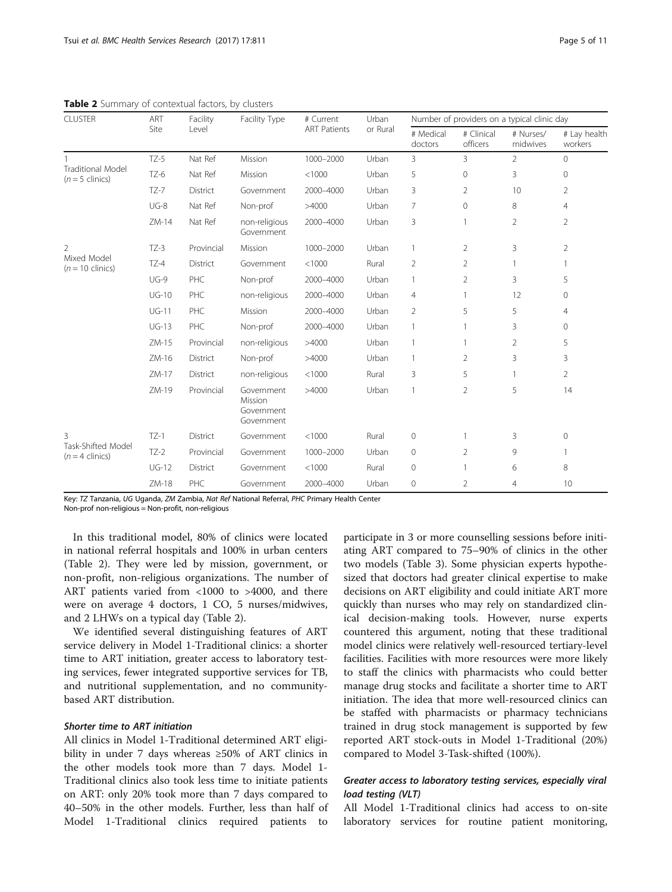| <b>CLUSTER</b>                                              | ART     | Facility<br>Level | Facility Type                                     | # Current<br><b>ART Patients</b> | Urban<br>or Rural | Number of providers on a typical clinic day |                        |                       |                         |
|-------------------------------------------------------------|---------|-------------------|---------------------------------------------------|----------------------------------|-------------------|---------------------------------------------|------------------------|-----------------------|-------------------------|
|                                                             | Site    |                   |                                                   |                                  |                   | # Medical<br>doctors                        | # Clinical<br>officers | # Nurses/<br>midwives | # Lay health<br>workers |
| <b>Traditional Model</b><br>$(n = 5 \text{ clinics})$       | $TZ-5$  | Nat Ref           | Mission                                           | 1000-2000                        | Urban             | 3                                           | $\overline{3}$         | $\overline{2}$        | $\circ$                 |
|                                                             | $TZ-6$  | Nat Ref           | Mission                                           | < 1000                           | Urban             | 5                                           | 0                      | 3                     | $\Omega$                |
|                                                             | $TZ-7$  | District          | Government                                        | 2000-4000                        | Urban             | 3                                           | $\overline{2}$         | 10                    | 2                       |
|                                                             | $UG-8$  | Nat Ref           | Non-prof                                          | >4000                            | Urban             | 7                                           | $\Omega$               | 8                     | 4                       |
|                                                             | ZM-14   | Nat Ref           | non-religious<br>Government                       | 2000-4000                        | Urban             | 3                                           |                        | $\overline{2}$        | 2                       |
| $\overline{2}$<br>Mixed Model<br>$(n = 10 \text{ clinics})$ | $TZ-3$  | Provincial        | Mission                                           | 1000-2000                        | Urban             | 1                                           | $\overline{2}$         | 3                     | $\overline{2}$          |
|                                                             | $TZ-4$  | District          | Government                                        | < 1000                           | Rural             | $\overline{2}$                              | $\overline{2}$         |                       |                         |
|                                                             | $UG-9$  | PHC               | Non-prof                                          | 2000-4000                        | Urban             | 1                                           | $\overline{2}$         | 3                     | 5                       |
|                                                             | $UG-10$ | PHC               | non-religious                                     | 2000-4000                        | Urban             | $\overline{4}$                              |                        | 12                    | 0                       |
|                                                             | $UG-11$ | PHC               | Mission                                           | 2000-4000                        | Urban             | $\overline{2}$                              | 5                      | 5                     | 4                       |
|                                                             | $UG-13$ | PHC               | Non-prof                                          | 2000-4000                        | Urban             | 1                                           | 1                      | 3                     | $\Omega$                |
|                                                             | $ZM-15$ | Provincial        | non-religious                                     | >4000                            | Urban             | $\mathbf{1}$                                | 1                      | 2                     | 5                       |
|                                                             | ZM-16   | District          | Non-prof                                          | >4000                            | Urban             | $\mathbf{1}$                                | $\overline{2}$         | 3                     | 3                       |
|                                                             | ZM-17   | District          | non-religious                                     | < 1000                           | Rural             | 3                                           | 5                      |                       | $\overline{2}$          |
|                                                             | ZM-19   | Provincial        | Government<br>Mission<br>Government<br>Government | >4000                            | Urban             | 1                                           | $\overline{2}$         | 5                     | 14                      |
| 3<br>Task-Shifted Model<br>$(n = 4$ clinics)                | $TZ-1$  | District          | Government                                        | < 1000                           | Rural             | 0                                           | $\mathbf{1}$           | 3                     | $\mathbf{0}$            |
|                                                             | $TZ-2$  | Provincial        | Government                                        | 1000-2000                        | Urban             | 0                                           | $\overline{2}$         | 9                     |                         |
|                                                             | $UG-12$ | District          | Government                                        | < 1000                           | Rural             | 0                                           |                        | 6                     | 8                       |
|                                                             | $ZM-18$ | PHC               | Government                                        | 2000-4000                        | Urban             | 0                                           | $\overline{2}$         | 4                     | 10                      |

<span id="page-4-0"></span>Table 2 Summary of contextual factors, by clusters

Key: TZ Tanzania, UG Uganda, ZM Zambia, Nat Ref National Referral, PHC Primary Health Center

Non-prof non-religious = Non-profit, non-religious

In this traditional model, 80% of clinics were located in national referral hospitals and 100% in urban centers (Table 2). They were led by mission, government, or non-profit, non-religious organizations. The number of ART patients varied from <1000 to >4000, and there were on average 4 doctors, 1 CO, 5 nurses/midwives, and 2 LHWs on a typical day (Table 2).

We identified several distinguishing features of ART service delivery in Model 1-Traditional clinics: a shorter time to ART initiation, greater access to laboratory testing services, fewer integrated supportive services for TB, and nutritional supplementation, and no communitybased ART distribution.

# Shorter time to ART initiation

All clinics in Model 1-Traditional determined ART eligibility in under 7 days whereas ≥50% of ART clinics in the other models took more than 7 days. Model 1- Traditional clinics also took less time to initiate patients on ART: only 20% took more than 7 days compared to 40–50% in the other models. Further, less than half of Model 1-Traditional clinics required patients to

participate in 3 or more counselling sessions before initiating ART compared to 75–90% of clinics in the other two models (Table [3\)](#page-5-0). Some physician experts hypothesized that doctors had greater clinical expertise to make decisions on ART eligibility and could initiate ART more quickly than nurses who may rely on standardized clinical decision-making tools. However, nurse experts countered this argument, noting that these traditional model clinics were relatively well-resourced tertiary-level facilities. Facilities with more resources were more likely to staff the clinics with pharmacists who could better manage drug stocks and facilitate a shorter time to ART initiation. The idea that more well-resourced clinics can be staffed with pharmacists or pharmacy technicians trained in drug stock management is supported by few reported ART stock-outs in Model 1-Traditional (20%) compared to Model 3-Task-shifted (100%).

# Greater access to laboratory testing services, especially viral load testing (VLT)

All Model 1-Traditional clinics had access to on-site laboratory services for routine patient monitoring,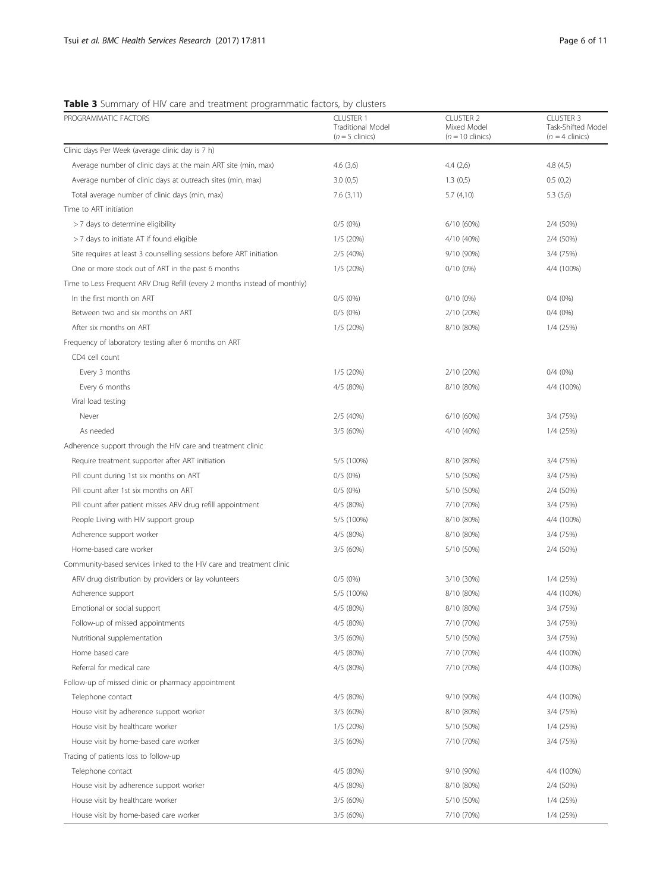# <span id="page-5-0"></span>Table 3 Summary of HIV care and treatment programmatic factors, by clusters

| PROGRAMMATIC FACTORS                                                      | <b>CLUSTER 1</b><br>Traditional Model<br>$(n = 5 \text{ clinics})$ | CLUSTER 2<br>Mixed Model<br>$(n = 10 \text{ clinics})$ | <b>CLUSTER 3</b><br>Task-Shifted Model<br>$(n = 4$ clinics) |
|---------------------------------------------------------------------------|--------------------------------------------------------------------|--------------------------------------------------------|-------------------------------------------------------------|
| Clinic days Per Week (average clinic day is 7 h)                          |                                                                    |                                                        |                                                             |
| Average number of clinic days at the main ART site (min, max)             | 4.6(3,6)                                                           | 4.4(2,6)                                               | 4.8 (4,5)                                                   |
| Average number of clinic days at outreach sites (min, max)                | 3.0(0,5)                                                           | 1.3(0,5)                                               | 0.5(0,2)                                                    |
| Total average number of clinic days (min, max)                            | 7.6(3,11)                                                          | 5.7(4,10)                                              | 5.3(5,6)                                                    |
| Time to ART initiation                                                    |                                                                    |                                                        |                                                             |
| > 7 days to determine eligibility                                         | $0/5(0\%)$                                                         | 6/10(60%)                                              | 2/4 (50%)                                                   |
| > 7 days to initiate AT if found eligible                                 | 1/5 (20%)                                                          | 4/10 (40%)                                             | 2/4 (50%)                                                   |
| Site requires at least 3 counselling sessions before ART initiation       | 2/5 (40%)                                                          | 9/10 (90%)                                             | 3/4 (75%)                                                   |
| One or more stock out of ART in the past 6 months                         | 1/5 (20%)                                                          | $0/10(0\%)$                                            | 4/4 (100%)                                                  |
| Time to Less Frequent ARV Drug Refill (every 2 months instead of monthly) |                                                                    |                                                        |                                                             |
| In the first month on ART                                                 | $0/5(0\%)$                                                         | $0/10(0\%)$                                            | $0/4(0\%)$                                                  |
| Between two and six months on ART                                         | $0/5(0\%)$                                                         | 2/10 (20%)                                             | $0/4(0\%)$                                                  |
| After six months on ART                                                   | 1/5 (20%)                                                          | 8/10 (80%)                                             | 1/4 (25%)                                                   |
| Frequency of laboratory testing after 6 months on ART                     |                                                                    |                                                        |                                                             |
| CD4 cell count                                                            |                                                                    |                                                        |                                                             |
| Every 3 months                                                            | 1/5 (20%)                                                          | 2/10 (20%)                                             | $0/4(0\%)$                                                  |
| Every 6 months                                                            | 4/5 (80%)                                                          | 8/10 (80%)                                             | 4/4 (100%)                                                  |
| Viral load testing                                                        |                                                                    |                                                        |                                                             |
| Never                                                                     | 2/5 (40%)                                                          | 6/10(60%)                                              | 3/4 (75%)                                                   |
| As needed                                                                 | 3/5 (60%)                                                          | 4/10 (40%)                                             | 1/4 (25%)                                                   |
| Adherence support through the HIV care and treatment clinic               |                                                                    |                                                        |                                                             |
| Require treatment supporter after ART initiation                          | 5/5 (100%)                                                         | 8/10 (80%)                                             | 3/4 (75%)                                                   |
| Pill count during 1st six months on ART                                   | $0/5(0\%)$                                                         | 5/10 (50%)                                             | 3/4 (75%)                                                   |
| Pill count after 1st six months on ART                                    | $0/5(0\%)$                                                         | 5/10 (50%)                                             | 2/4 (50%)                                                   |
| Pill count after patient misses ARV drug refill appointment               | 4/5 (80%)                                                          | 7/10 (70%)                                             | 3/4 (75%)                                                   |
| People Living with HIV support group                                      | 5/5 (100%)                                                         | 8/10 (80%)                                             | 4/4 (100%)                                                  |
| Adherence support worker                                                  | 4/5 (80%)                                                          | 8/10 (80%)                                             | 3/4 (75%)                                                   |
| Home-based care worker                                                    | 3/5 (60%)                                                          | 5/10 (50%)                                             | 2/4 (50%)                                                   |
| Community-based services linked to the HIV care and treatment clinic      |                                                                    |                                                        |                                                             |
| ARV drug distribution by providers or lay volunteers                      | $0/5(0\%)$                                                         | 3/10 (30%)                                             | 1/4 (25%)                                                   |
| Adherence support                                                         | 5/5 (100%)                                                         | 8/10 (80%)                                             | 4/4 (100%)                                                  |
| Emotional or social support                                               | 4/5 (80%)                                                          | 8/10 (80%)                                             | 3/4 (75%)                                                   |
| Follow-up of missed appointments                                          | 4/5 (80%)                                                          | 7/10 (70%)                                             | 3/4 (75%)                                                   |
| Nutritional supplementation                                               | 3/5 (60%)                                                          | 5/10 (50%)                                             | 3/4 (75%)                                                   |
| Home based care                                                           | 4/5 (80%)                                                          | 7/10 (70%)                                             | 4/4 (100%)                                                  |
| Referral for medical care                                                 | 4/5 (80%)                                                          | 7/10 (70%)                                             | 4/4 (100%)                                                  |
| Follow-up of missed clinic or pharmacy appointment                        |                                                                    |                                                        |                                                             |
| Telephone contact                                                         | 4/5 (80%)                                                          | 9/10 (90%)                                             | 4/4 (100%)                                                  |
| House visit by adherence support worker                                   | 3/5 (60%)                                                          | 8/10 (80%)                                             | 3/4 (75%)                                                   |
| House visit by healthcare worker                                          | 1/5 (20%)                                                          | 5/10 (50%)                                             | 1/4 (25%)                                                   |
| House visit by home-based care worker                                     | 3/5(60%)                                                           | 7/10 (70%)                                             | 3/4 (75%)                                                   |
| Tracing of patients loss to follow-up                                     |                                                                    |                                                        |                                                             |
| Telephone contact                                                         | 4/5 (80%)                                                          | 9/10 (90%)                                             | 4/4 (100%)                                                  |
| House visit by adherence support worker                                   | 4/5 (80%)                                                          | 8/10 (80%)                                             | 2/4 (50%)                                                   |
| House visit by healthcare worker                                          | 3/5 (60%)                                                          | 5/10 (50%)                                             | 1/4 (25%)                                                   |
| House visit by home-based care worker                                     | 3/5(60%)                                                           | 7/10 (70%)                                             | 1/4 (25%)                                                   |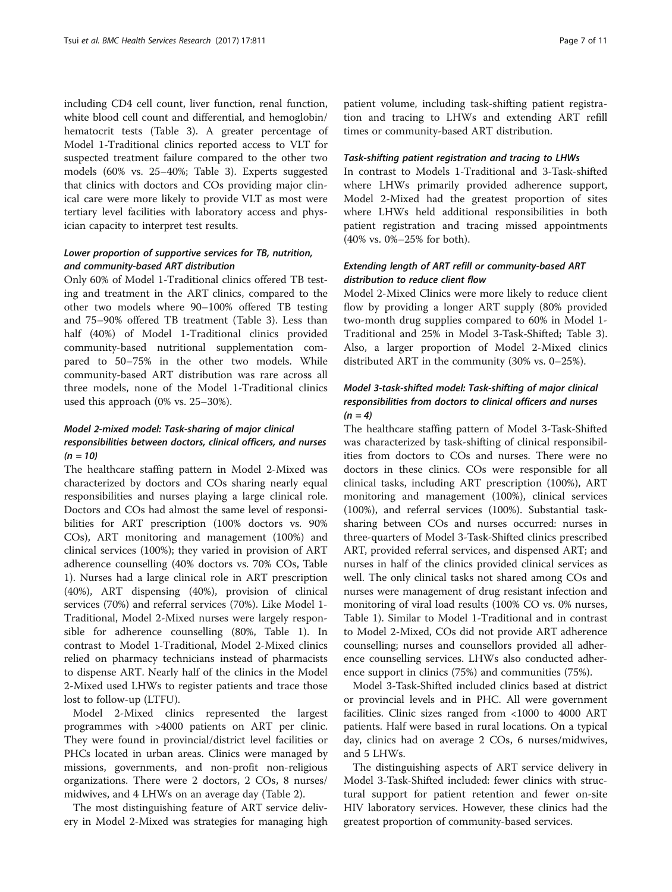including CD4 cell count, liver function, renal function, white blood cell count and differential, and hemoglobin/ hematocrit tests (Table [3](#page-5-0)). A greater percentage of Model 1-Traditional clinics reported access to VLT for suspected treatment failure compared to the other two models (60% vs. 25–40%; Table [3](#page-5-0)). Experts suggested that clinics with doctors and COs providing major clinical care were more likely to provide VLT as most were tertiary level facilities with laboratory access and physician capacity to interpret test results.

# Lower proportion of supportive services for TB, nutrition, and community-based ART distribution

Only 60% of Model 1-Traditional clinics offered TB testing and treatment in the ART clinics, compared to the other two models where 90–100% offered TB testing and 75–90% offered TB treatment (Table [3\)](#page-5-0). Less than half (40%) of Model 1-Traditional clinics provided community-based nutritional supplementation compared to 50–75% in the other two models. While community-based ART distribution was rare across all three models, none of the Model 1-Traditional clinics used this approach (0% vs. 25–30%).

# Model 2-mixed model: Task-sharing of major clinical responsibilities between doctors, clinical officers, and nurses  $(n = 10)$

The healthcare staffing pattern in Model 2-Mixed was characterized by doctors and COs sharing nearly equal responsibilities and nurses playing a large clinical role. Doctors and COs had almost the same level of responsibilities for ART prescription (100% doctors vs. 90% COs), ART monitoring and management (100%) and clinical services (100%); they varied in provision of ART adherence counselling (40% doctors vs. 70% COs, Table [1\)](#page-3-0). Nurses had a large clinical role in ART prescription (40%), ART dispensing (40%), provision of clinical services (70%) and referral services (70%). Like Model 1- Traditional, Model 2-Mixed nurses were largely responsible for adherence counselling (80%, Table [1\)](#page-3-0). In contrast to Model 1-Traditional, Model 2-Mixed clinics relied on pharmacy technicians instead of pharmacists to dispense ART. Nearly half of the clinics in the Model 2-Mixed used LHWs to register patients and trace those lost to follow-up (LTFU).

Model 2-Mixed clinics represented the largest programmes with >4000 patients on ART per clinic. They were found in provincial/district level facilities or PHCs located in urban areas. Clinics were managed by missions, governments, and non-profit non-religious organizations. There were 2 doctors, 2 COs, 8 nurses/ midwives, and 4 LHWs on an average day (Table [2](#page-4-0)).

The most distinguishing feature of ART service delivery in Model 2-Mixed was strategies for managing high patient volume, including task-shifting patient registration and tracing to LHWs and extending ART refill times or community-based ART distribution.

#### Task-shifting patient registration and tracing to LHWs

In contrast to Models 1-Traditional and 3-Task-shifted where LHWs primarily provided adherence support, Model 2-Mixed had the greatest proportion of sites where LHWs held additional responsibilities in both patient registration and tracing missed appointments (40% vs. 0%–25% for both).

# Extending length of ART refill or community-based ART distribution to reduce client flow

Model 2-Mixed Clinics were more likely to reduce client flow by providing a longer ART supply (80% provided two-month drug supplies compared to 60% in Model 1- Traditional and 25% in Model 3-Task-Shifted; Table [3](#page-5-0)). Also, a larger proportion of Model 2-Mixed clinics distributed ART in the community (30% vs. 0–25%).

# Model 3-task-shifted model: Task-shifting of major clinical responsibilities from doctors to clinical officers and nurses  $(n = 4)$

The healthcare staffing pattern of Model 3-Task-Shifted was characterized by task-shifting of clinical responsibilities from doctors to COs and nurses. There were no doctors in these clinics. COs were responsible for all clinical tasks, including ART prescription (100%), ART monitoring and management (100%), clinical services (100%), and referral services (100%). Substantial tasksharing between COs and nurses occurred: nurses in three-quarters of Model 3-Task-Shifted clinics prescribed ART, provided referral services, and dispensed ART; and nurses in half of the clinics provided clinical services as well. The only clinical tasks not shared among COs and nurses were management of drug resistant infection and monitoring of viral load results (100% CO vs. 0% nurses, Table [1](#page-3-0)). Similar to Model 1-Traditional and in contrast to Model 2-Mixed, COs did not provide ART adherence counselling; nurses and counsellors provided all adherence counselling services. LHWs also conducted adherence support in clinics (75%) and communities (75%).

Model 3-Task-Shifted included clinics based at district or provincial levels and in PHC. All were government facilities. Clinic sizes ranged from <1000 to 4000 ART patients. Half were based in rural locations. On a typical day, clinics had on average 2 COs, 6 nurses/midwives, and 5 LHWs.

The distinguishing aspects of ART service delivery in Model 3-Task-Shifted included: fewer clinics with structural support for patient retention and fewer on-site HIV laboratory services. However, these clinics had the greatest proportion of community-based services.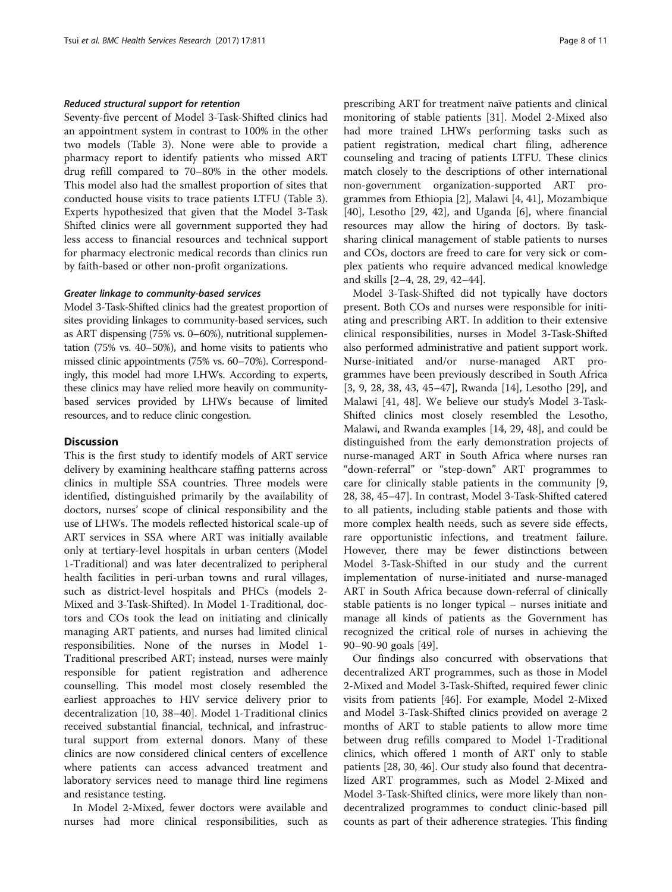# Reduced structural support for retention

Seventy-five percent of Model 3-Task-Shifted clinics had an appointment system in contrast to 100% in the other two models (Table [3\)](#page-5-0). None were able to provide a pharmacy report to identify patients who missed ART drug refill compared to 70–80% in the other models. This model also had the smallest proportion of sites that conducted house visits to trace patients LTFU (Table [3](#page-5-0)). Experts hypothesized that given that the Model 3-Task Shifted clinics were all government supported they had less access to financial resources and technical support for pharmacy electronic medical records than clinics run by faith-based or other non-profit organizations.

#### Greater linkage to community-based services

Model 3-Task-Shifted clinics had the greatest proportion of sites providing linkages to community-based services, such as ART dispensing (75% vs. 0–60%), nutritional supplementation (75% vs. 40–50%), and home visits to patients who missed clinic appointments (75% vs. 60–70%). Correspondingly, this model had more LHWs. According to experts, these clinics may have relied more heavily on communitybased services provided by LHWs because of limited resources, and to reduce clinic congestion.

## **Discussion**

This is the first study to identify models of ART service delivery by examining healthcare staffing patterns across clinics in multiple SSA countries. Three models were identified, distinguished primarily by the availability of doctors, nurses' scope of clinical responsibility and the use of LHWs. The models reflected historical scale-up of ART services in SSA where ART was initially available only at tertiary-level hospitals in urban centers (Model 1-Traditional) and was later decentralized to peripheral health facilities in peri-urban towns and rural villages, such as district-level hospitals and PHCs (models 2- Mixed and 3-Task-Shifted). In Model 1-Traditional, doctors and COs took the lead on initiating and clinically managing ART patients, and nurses had limited clinical responsibilities. None of the nurses in Model 1- Traditional prescribed ART; instead, nurses were mainly responsible for patient registration and adherence counselling. This model most closely resembled the earliest approaches to HIV service delivery prior to decentralization [[10](#page-9-0), [38](#page-10-0)–[40](#page-10-0)]. Model 1-Traditional clinics received substantial financial, technical, and infrastructural support from external donors. Many of these clinics are now considered clinical centers of excellence where patients can access advanced treatment and laboratory services need to manage third line regimens and resistance testing.

In Model 2-Mixed, fewer doctors were available and nurses had more clinical responsibilities, such as

prescribing ART for treatment naïve patients and clinical monitoring of stable patients [\[31\]](#page-10-0). Model 2-Mixed also had more trained LHWs performing tasks such as patient registration, medical chart filing, adherence counseling and tracing of patients LTFU. These clinics match closely to the descriptions of other international non-government organization-supported ART programmes from Ethiopia [[2\]](#page-9-0), Malawi [[4,](#page-9-0) [41\]](#page-10-0), Mozambique [[40\]](#page-10-0), Lesotho [\[29, 42](#page-10-0)], and Uganda [[6\]](#page-9-0), where financial resources may allow the hiring of doctors. By tasksharing clinical management of stable patients to nurses and COs, doctors are freed to care for very sick or complex patients who require advanced medical knowledge and skills [[2](#page-9-0)–[4,](#page-9-0) [28, 29, 42](#page-10-0)–[44](#page-10-0)].

Model 3-Task-Shifted did not typically have doctors present. Both COs and nurses were responsible for initiating and prescribing ART. In addition to their extensive clinical responsibilities, nurses in Model 3-Task-Shifted also performed administrative and patient support work. Nurse-initiated and/or nurse-managed ART programmes have been previously described in South Africa [[3, 9](#page-9-0), [28, 38, 43](#page-10-0), [45](#page-10-0)–[47](#page-10-0)], Rwanda [[14](#page-9-0)], Lesotho [\[29\]](#page-10-0), and Malawi [[41, 48\]](#page-10-0). We believe our study's Model 3-Task-Shifted clinics most closely resembled the Lesotho, Malawi, and Rwanda examples [\[14,](#page-9-0) [29, 48](#page-10-0)], and could be distinguished from the early demonstration projects of nurse-managed ART in South Africa where nurses ran "down-referral" or "step-down" ART programmes to care for clinically stable patients in the community [\[9](#page-9-0), [28, 38](#page-10-0), [45](#page-10-0)–[47](#page-10-0)]. In contrast, Model 3-Task-Shifted catered to all patients, including stable patients and those with more complex health needs, such as severe side effects, rare opportunistic infections, and treatment failure. However, there may be fewer distinctions between Model 3-Task-Shifted in our study and the current implementation of nurse-initiated and nurse-managed ART in South Africa because down-referral of clinically stable patients is no longer typical – nurses initiate and manage all kinds of patients as the Government has recognized the critical role of nurses in achieving the 90–90-90 goals [\[49](#page-10-0)].

Our findings also concurred with observations that decentralized ART programmes, such as those in Model 2-Mixed and Model 3-Task-Shifted, required fewer clinic visits from patients [\[46\]](#page-10-0). For example, Model 2-Mixed and Model 3-Task-Shifted clinics provided on average 2 months of ART to stable patients to allow more time between drug refills compared to Model 1-Traditional clinics, which offered 1 month of ART only to stable patients [\[28, 30, 46\]](#page-10-0). Our study also found that decentralized ART programmes, such as Model 2-Mixed and Model 3-Task-Shifted clinics, were more likely than nondecentralized programmes to conduct clinic-based pill counts as part of their adherence strategies. This finding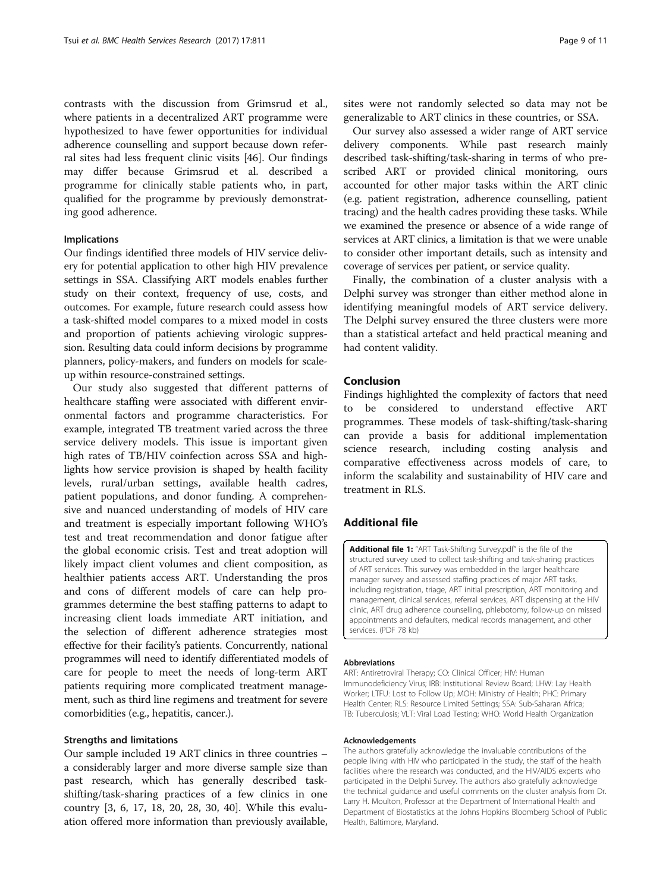<span id="page-8-0"></span>contrasts with the discussion from Grimsrud et al., where patients in a decentralized ART programme were hypothesized to have fewer opportunities for individual adherence counselling and support because down referral sites had less frequent clinic visits [\[46](#page-10-0)]. Our findings may differ because Grimsrud et al. described a programme for clinically stable patients who, in part, qualified for the programme by previously demonstrating good adherence.

#### Implications

Our findings identified three models of HIV service delivery for potential application to other high HIV prevalence settings in SSA. Classifying ART models enables further study on their context, frequency of use, costs, and outcomes. For example, future research could assess how a task-shifted model compares to a mixed model in costs and proportion of patients achieving virologic suppression. Resulting data could inform decisions by programme planners, policy-makers, and funders on models for scaleup within resource-constrained settings.

Our study also suggested that different patterns of healthcare staffing were associated with different environmental factors and programme characteristics. For example, integrated TB treatment varied across the three service delivery models. This issue is important given high rates of TB/HIV coinfection across SSA and highlights how service provision is shaped by health facility levels, rural/urban settings, available health cadres, patient populations, and donor funding. A comprehensive and nuanced understanding of models of HIV care and treatment is especially important following WHO's test and treat recommendation and donor fatigue after the global economic crisis. Test and treat adoption will likely impact client volumes and client composition, as healthier patients access ART. Understanding the pros and cons of different models of care can help programmes determine the best staffing patterns to adapt to increasing client loads immediate ART initiation, and the selection of different adherence strategies most effective for their facility's patients. Concurrently, national programmes will need to identify differentiated models of care for people to meet the needs of long-term ART patients requiring more complicated treatment management, such as third line regimens and treatment for severe comorbidities (e.g., hepatitis, cancer.).

#### Strengths and limitations

Our sample included 19 ART clinics in three countries – a considerably larger and more diverse sample size than past research, which has generally described taskshifting/task-sharing practices of a few clinics in one country [[3](#page-9-0), [6, 17, 18,](#page-9-0) [20, 28](#page-10-0), [30](#page-10-0), [40](#page-10-0)]. While this evaluation offered more information than previously available,

sites were not randomly selected so data may not be generalizable to ART clinics in these countries, or SSA.

Our survey also assessed a wider range of ART service delivery components. While past research mainly described task-shifting/task-sharing in terms of who prescribed ART or provided clinical monitoring, ours accounted for other major tasks within the ART clinic (e.g. patient registration, adherence counselling, patient tracing) and the health cadres providing these tasks. While we examined the presence or absence of a wide range of services at ART clinics, a limitation is that we were unable to consider other important details, such as intensity and coverage of services per patient, or service quality.

Finally, the combination of a cluster analysis with a Delphi survey was stronger than either method alone in identifying meaningful models of ART service delivery. The Delphi survey ensured the three clusters were more than a statistical artefact and held practical meaning and had content validity.

#### Conclusion

Findings highlighted the complexity of factors that need to be considered to understand effective ART programmes. These models of task-shifting/task-sharing can provide a basis for additional implementation science research, including costing analysis and comparative effectiveness across models of care, to inform the scalability and sustainability of HIV care and treatment in RLS.

### Additional file

[Additional file 1:](dx.doi.org/10.1186/s12913-017-2772-4) "ART Task-Shifting Survey.pdf" is the file of the structured survey used to collect task-shifting and task-sharing practices of ART services. This survey was embedded in the larger healthcare manager survey and assessed staffing practices of major ART tasks, including registration, triage, ART initial prescription, ART monitoring and management, clinical services, referral services, ART dispensing at the HIV clinic, ART drug adherence counselling, phlebotomy, follow-up on missed appointments and defaulters, medical records management, and other services. (PDF 78 kb)

#### Abbreviations

ART: Antiretroviral Therapy; CO: Clinical Officer; HIV: Human Immunodeficiency Virus; IRB: Institutional Review Board; LHW: Lay Health Worker; LTFU: Lost to Follow Up; MOH: Ministry of Health; PHC: Primary Health Center; RLS: Resource Limited Settings; SSA: Sub-Saharan Africa; TB: Tuberculosis; VLT: Viral Load Testing; WHO: World Health Organization

#### Acknowledgements

The authors gratefully acknowledge the invaluable contributions of the people living with HIV who participated in the study, the staff of the health facilities where the research was conducted, and the HIV/AIDS experts who participated in the Delphi Survey. The authors also gratefully acknowledge the technical guidance and useful comments on the cluster analysis from Dr. Larry H. Moulton, Professor at the Department of International Health and Department of Biostatistics at the Johns Hopkins Bloomberg School of Public Health, Baltimore, Maryland.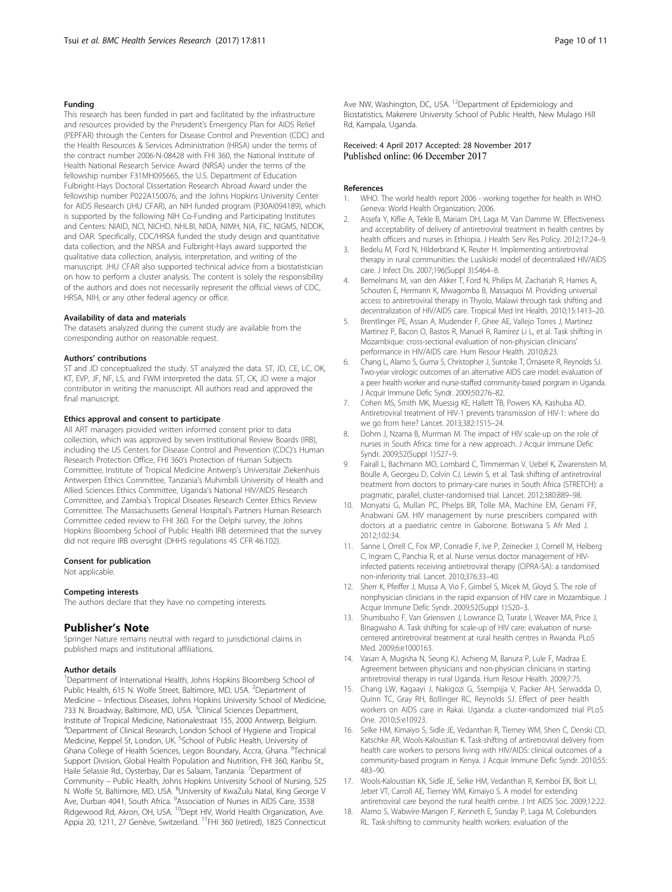#### <span id="page-9-0"></span>Funding

This research has been funded in part and facilitated by the infrastructure and resources provided by the President's Emergency Plan for AIDS Relief (PEPFAR) through the Centers for Disease Control and Prevention (CDC) and the Health Resources & Services Administration (HRSA) under the terms of the contract number 2006-N-08428 with FHI 360, the National Institute of Health National Research Service Award (NRSA) under the terms of the fellowship number F31MH095665, the U.S. Department of Education Fulbright-Hays Doctoral Dissertation Research Abroad Award under the fellowship number P022A150076, and the Johns Hopkins University Center for AIDS Research (JHU CFAR), an NIH funded program (P30AI094189), which is supported by the following NIH Co-Funding and Participating Institutes and Centers: NIAID, NCI, NICHD, NHLBI, NIDA, NIMH, NIA, FIC, NIGMS, NIDDK, and OAR. Specifically, CDC/HRSA funded the study design and quantitative data collection, and the NRSA and Fulbright-Hays award supported the qualitative data collection, analysis, interpretation, and writing of the manuscript. JHU CFAR also supported technical advice from a biostatistician on how to perform a cluster analysis. The content is solely the responsibility of the authors and does not necessarily represent the official views of CDC, HRSA, NIH, or any other federal agency or office.

#### Availability of data and materials

The datasets analyzed during the current study are available from the corresponding author on reasonable request.

#### Authors' contributions

ST and JD conceptualized the study. ST analyzed the data. ST, JD, CE, LC, OK, KT, EVP, JF, NF, LS, and FWM interpreted the data. ST, CK, JD were a major contributor in writing the manuscript. All authors read and approved the final manuscript.

#### Ethics approval and consent to participate

All ART managers provided written informed consent prior to data collection, which was approved by seven Institutional Review Boards (IRB), including the US Centers for Disease Control and Prevention (CDC)'s Human Research Protection Office, FHI 360's Protection of Human Subjects Committee, Institute of Tropical Medicine Antwerp's Universitair Ziekenhuis Antwerpen Ethics Committee, Tanzania's Muhimbili University of Health and Allied Sciences Ethics Committee, Uganda's National HIV/AIDS Research Committee, and Zambia's Tropical Diseases Research Center Ethics Review Committee. The Massachusetts General Hospital's Partners Human Research Committee ceded review to FHI 360. For the Delphi survey, the Johns Hopkins Bloomberg School of Public Health IRB determined that the survey did not require IRB oversight (DHHS regulations 45 CFR 46.102).

#### Consent for publication

Not applicable.

#### Competing interests

The authors declare that they have no competing interests.

#### Publisher's Note

Springer Nature remains neutral with regard to jurisdictional claims in published maps and institutional affiliations.

#### Author details

<sup>1</sup>Department of International Health, Johns Hopkins Bloomberg School of Public Health, 615 N. Wolfe Street, Baltimore, MD, USA. <sup>2</sup>Department of Medicine – Infectious Diseases, Johns Hopkins University School of Medicine, 733 N. Broadway, Baltimore, MD, USA. <sup>3</sup>Clinical Sciences Department, Institute of Tropical Medicine, Nationalestraat 155, 2000 Antwerp, Belgium. 4 Department of Clinical Research, London School of Hygiene and Tropical Medicine, Keppel St, London, UK. <sup>5</sup>School of Public Health, University of Ghana College of Health Sciences, Legon Boundary, Accra, Ghana. <sup>6</sup>Technical Support Division, Global Health Population and Nutrition, FHI 360, Karibu St., Haile Selassie Rd., Oysterbay, Dar es Salaam, Tanzania. <sup>7</sup>Department of Community – Public Health, Johns Hopkins University School of Nursing, 525 N. Wolfe St, Baltimore, MD, USA. <sup>8</sup>University of KwaZulu Natal, King George V<br>Ave, Durban 4041, South Africa. <sup>9</sup>Association of Nurses in AIDS Care, 3538<br>Ridgewood Rd, Akron, OH, USA. <sup>10</sup>Dept HIV, World Health Organizati Appia 20, 1211, 27 Genève, Switzerland. <sup>11</sup>FHI 360 (retired), 1825 Connecticut Ave NW, Washington, DC, USA. <sup>12</sup>Department of Epidemiology and Biostatistics, Makerere University School of Public Health, New Mulago Hill Rd, Kampala, Uganda.

# Received: 4 April 2017 Accepted: 28 November 2017

#### References

- 1. WHO. The world health report 2006 working together for health in WHO. Geneva: World Health Organization; 2006.
- Assefa Y, Kiflie A, Tekle B, Mariam DH, Laga M, Van Damme W. Effectiveness and acceptability of delivery of antiretroviral treatment in health centres by health officers and nurses in Ethiopia. J Health Serv Res Policy. 2012;17:24–9.
- 3. Bedelu M, Ford N, Hilderbrand K, Reuter H. Implementing antiretroviral therapy in rural communities: the Lusikisiki model of decentralized HIV/AIDS care. J Infect Dis. 2007;196(Suppl 3):S464–8.
- 4. Bemelmans M, van den Akker T, Ford N, Philips M, Zachariah R, Harries A, Schouten E, Hermann K, Mwagomba B, Massaquoi M. Providing universal access to antiretroviral therapy in Thyolo, Malawi through task shifting and decentralization of HIV/AIDS care. Tropical Med Int Health. 2010;15:1413–20.
- 5. Brentlinger PE, Assan A, Mudender F, Ghee AE, Vallejo Torres J, Martinez Martinez P, Bacon O, Bastos R, Manuel R, Ramirez Li L, et al. Task shifting in Mozambique: cross-sectional evaluation of non-physician clinicians' performance in HIV/AIDS care. Hum Resour Health. 2010;8:23.
- Chang L, Alamo S, Guma S, Christopher J, Suntoke T, Omasete R, Reynolds SJ. Two-year virologic outcomes of an alternative AIDS care model: evaluation of a peer health worker and nurse-staffed community-based porgram in Uganda. J Acquir Immune Defic Syndr. 2009;50:276–82.
- 7. Cohen MS, Smith MK, Muessig KE, Hallett TB, Powers KA, Kashuba AD. Antiretroviral treatment of HIV-1 prevents transmission of HIV-1: where do we go from here? Lancet. 2013;382:1515–24.
- 8. Dohrn J, Nzama B, Murrman M. The impact of HIV scale-up on the role of nurses in South Africa: time for a new approach. J Acquir Immune Defic Syndr. 2009;52(Suppl 1):S27–9.
- 9. Fairall L, Bachmann MO, Lombard C, Timmerman V, Uebel K, Zwarenstein M, Boulle A, Georgeu D, Colvin CJ, Lewin S, et al. Task shifting of antiretroviral treatment from doctors to primary-care nurses in South Africa (STRETCH): a pragmatic, parallel, cluster-randomised trial. Lancet. 2012;380:889–98.
- 10. Monyatsi G, Mullan PC, Phelps BR, Tolle MA, Machine EM, Genarri FF, Anabwani GM. HIV management by nurse prescribers compared with doctors at a paediatric centre in Gaborone. Botswana S Afr Med J. 2012;102:34.
- 11. Sanne I, Orrell C, Fox MP, Conradie F, Ive P, Zeinecker J, Cornell M, Heiberg C, Ingram C, Panchia R, et al. Nurse versus doctor management of HIVinfected patients receiving antiretroviral therapy (CIPRA-SA): a randomised non-inferiority trial. Lancet. 2010;376:33–40.
- 12. Sherr K, Pfeiffer J, Mussa A, Vio F, Gimbel S, Micek M, Gloyd S. The role of nonphysician clinicians in the rapid expansion of HIV care in Mozambique. J Acquir Immune Defic Syndr. 2009;52(Suppl 1):S20–3.
- 13. Shumbusho F, Van Griensven J, Lowrance D, Turate I, Weaver MA, Price J, Binagwaho A. Task shifting for scale-up of HIV care: evaluation of nursecentered antiretroviral treatment at rural health centres in Rwanda. PLoS Med. 2009;6:e1000163.
- 14. Vasan A, Mugisha N, Seung KJ, Achieng M, Banura P, Lule F, Madraa E. Agreement between physicians and non-physician clinicians in starting antiretroviral therapy in rural Uganda. Hum Resour Health. 2009;7:75.
- 15. Chang LW, Kagaayi J, Nakigozi G, Ssempijja V, Packer AH, Serwadda D, Quinn TC, Gray RH, Bollinger RC, Reynolds SJ. Effect of peer health workers on AIDS care in Rakai. Uganda: a cluster-randomized trial PLoS One. 2010;5:e10923.
- 16. Selke HM, Kimaiyo S, Sidle JE, Vedanthan R, Tierney WM, Shen C, Denski CD, Katschke AR, Wools-Kaloustian K. Task-shifting of antiretroviral delivery from health care workers to persons living with HIV/AIDS: clinical outcomes of a community-based program in Kenya. J Acquir Immune Defic Syndr. 2010;55: 483–90.
- 17. Wools-Kaloustian KK, Sidle JE, Selke HM, Vedanthan R, Kemboi EK, Boit LJ, Jebet VT, Carroll AE, Tierney WM, Kimaiyo S. A model for extending antiretroviral care beyond the rural health centre. J Int AIDS Soc. 2009;12:22.
- 18. Alamo S, Wabwire-Mangen F, Kenneth E, Sunday P, Laga M, Colebunders RL. Task-shifting to community health workers: evaluation of the